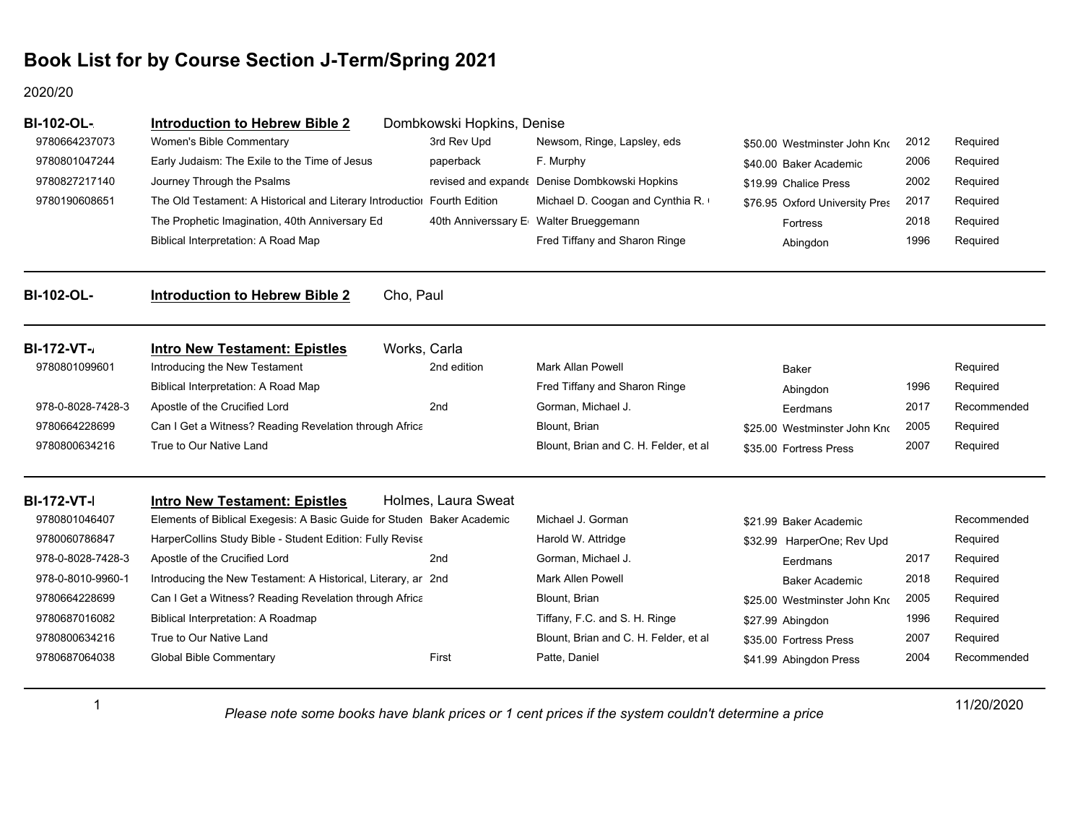#### 2020/20

1

| <b>BI-102-OL-</b>  | <b>Introduction to Hebrew Bible 2</b>                                    | Dombkowski Hopkins, Denise |                                               |                                |      |             |
|--------------------|--------------------------------------------------------------------------|----------------------------|-----------------------------------------------|--------------------------------|------|-------------|
| 9780664237073      | Women's Bible Commentary                                                 | 3rd Rev Upd                | Newsom, Ringe, Lapsley, eds                   | \$50.00 Westminster John Kno   | 2012 | Required    |
| 9780801047244      | Early Judaism: The Exile to the Time of Jesus                            | paperback                  | F. Murphy                                     | \$40.00 Baker Academic         | 2006 | Required    |
| 9780827217140      | Journey Through the Psalms                                               |                            | revised and expande Denise Dombkowski Hopkins | \$19.99 Chalice Press          | 2002 | Required    |
| 9780190608651      | The Old Testament: A Historical and Literary Introductiol Fourth Edition |                            | Michael D. Coogan and Cynthia R.              | \$76.95 Oxford University Pres | 2017 | Required    |
|                    | The Prophetic Imagination, 40th Anniversary Ed                           |                            | 40th Anniverssary E Walter Brueggemann        | <b>Fortress</b>                | 2018 | Required    |
|                    | Biblical Interpretation: A Road Map                                      |                            | Fred Tiffany and Sharon Ringe                 | Abingdon                       | 1996 | Required    |
| <b>BI-102-OL-</b>  | Cho, Paul<br><b>Introduction to Hebrew Bible 2</b>                       |                            |                                               |                                |      |             |
| <b>BI-172-VT-</b>  | Works, Carla<br><b>Intro New Testament: Epistles</b>                     |                            |                                               |                                |      |             |
| 9780801099601      | Introducing the New Testament                                            | 2nd edition                | Mark Allan Powell                             | Baker                          |      | Required    |
|                    | Biblical Interpretation: A Road Map                                      |                            | Fred Tiffany and Sharon Ringe                 | Abingdon                       | 1996 | Required    |
| 978-0-8028-7428-3  | Apostle of the Crucified Lord                                            | 2nd                        | Gorman, Michael J.                            | Eerdmans                       | 2017 | Recommended |
| 9780664228699      | Can I Get a Witness? Reading Revelation through Africa                   |                            | Blount, Brian                                 | \$25.00 Westminster John Kno   | 2005 | Required    |
| 9780800634216      | True to Our Native Land                                                  |                            | Blount, Brian and C. H. Felder, et al         | \$35.00 Fortress Press         | 2007 | Required    |
| <b>BI-172-VT-I</b> | <b>Intro New Testament: Epistles</b>                                     | Holmes, Laura Sweat        |                                               |                                |      |             |
| 9780801046407      | Elements of Biblical Exegesis: A Basic Guide for Studen Baker Academic   |                            | Michael J. Gorman                             | \$21.99 Baker Academic         |      | Recommended |
| 9780060786847      | HarperCollins Study Bible - Student Edition: Fully Revise                |                            | Harold W. Attridge                            | \$32.99 HarperOne; Rev Upd     |      | Required    |
| 978-0-8028-7428-3  | Apostle of the Crucified Lord                                            | 2nd                        | Gorman, Michael J.                            | Eerdmans                       | 2017 | Required    |
| 978-0-8010-9960-1  | Introducing the New Testament: A Historical, Literary, ar 2nd            |                            | <b>Mark Allen Powell</b>                      | <b>Baker Academic</b>          | 2018 | Required    |
| 9780664228699      | Can I Get a Witness? Reading Revelation through Africa                   |                            | Blount, Brian                                 | \$25.00 Westminster John Kno   | 2005 | Required    |
| 9780687016082      | Biblical Interpretation: A Roadmap                                       |                            | Tiffany, F.C. and S. H. Ringe                 | \$27.99 Abingdon               | 1996 | Required    |
| 9780800634216      | True to Our Native Land                                                  |                            | Blount, Brian and C. H. Felder, et al         | \$35.00 Fortress Press         | 2007 | Required    |
| 9780687064038      | <b>Global Bible Commentary</b>                                           | First                      | Patte, Daniel                                 | \$41.99 Abingdon Press         | 2004 | Recommended |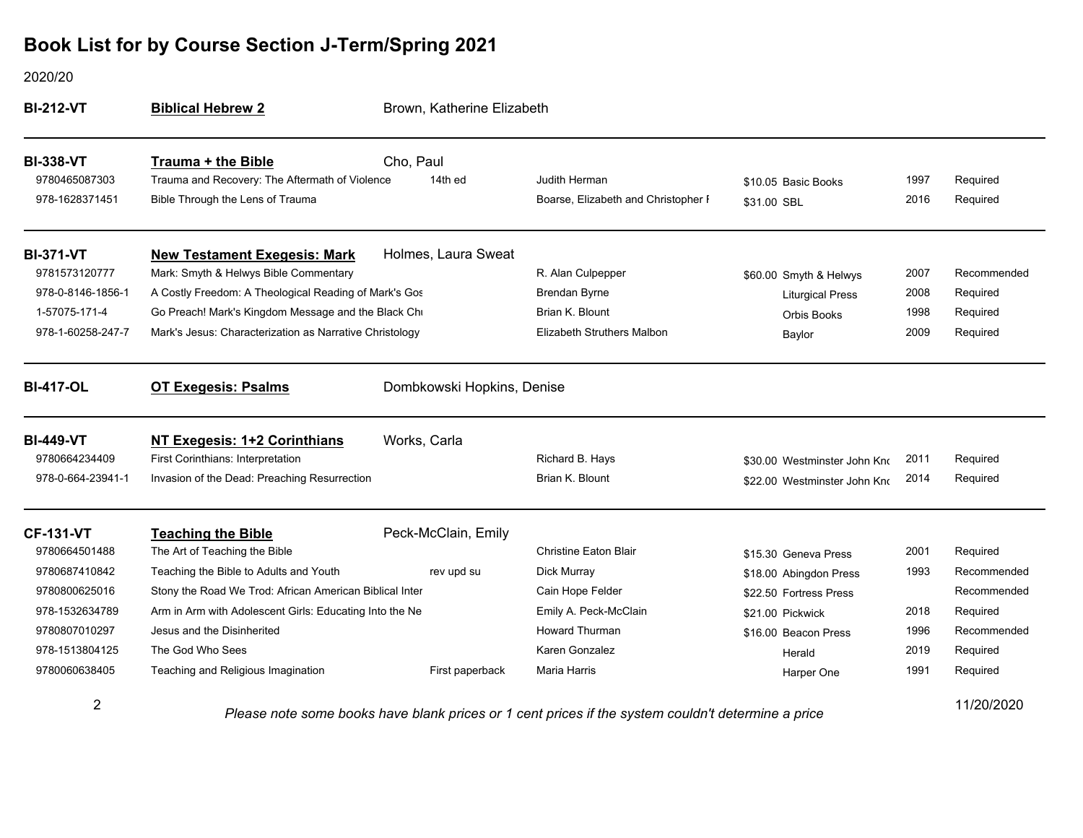#### 2020/20

| <b>BI-212-VT</b>                                    | <b>Biblical Hebrew 2</b>                                                                                        | Brown, Katherine Elizabeth |                                                                                                       |                                    |              |                      |
|-----------------------------------------------------|-----------------------------------------------------------------------------------------------------------------|----------------------------|-------------------------------------------------------------------------------------------------------|------------------------------------|--------------|----------------------|
| <b>BI-338-VT</b><br>9780465087303<br>978-1628371451 | <b>Trauma + the Bible</b><br>Trauma and Recovery: The Aftermath of Violence<br>Bible Through the Lens of Trauma | Cho, Paul<br>14th ed       | Judith Herman<br>Boarse, Elizabeth and Christopher F                                                  | \$10.05 Basic Books<br>\$31.00 SBL | 1997<br>2016 | Required<br>Required |
|                                                     |                                                                                                                 |                            |                                                                                                       |                                    |              |                      |
| <b>BI-371-VT</b>                                    | <b>New Testament Exegesis: Mark</b>                                                                             | Holmes, Laura Sweat        |                                                                                                       |                                    |              |                      |
| 9781573120777                                       | Mark: Smyth & Helwys Bible Commentary                                                                           |                            | R. Alan Culpepper                                                                                     | \$60.00 Smyth & Helwys             | 2007         | Recommended          |
| 978-0-8146-1856-1                                   | A Costly Freedom: A Theological Reading of Mark's Gos                                                           |                            | <b>Brendan Byrne</b>                                                                                  | <b>Liturgical Press</b>            | 2008         | Required             |
| 1-57075-171-4                                       | Go Preach! Mark's Kingdom Message and the Black Chi                                                             |                            | Brian K. Blount                                                                                       | Orbis Books                        | 1998         | Required             |
| 978-1-60258-247-7                                   | Mark's Jesus: Characterization as Narrative Christology                                                         |                            | Elizabeth Struthers Malbon                                                                            | Baylor                             | 2009         | Required             |
| <b>BI-417-OL</b>                                    | <b>OT Exegesis: Psalms</b>                                                                                      | Dombkowski Hopkins, Denise |                                                                                                       |                                    |              |                      |
| <b>BI-449-VT</b>                                    | NT Exegesis: 1+2 Corinthians                                                                                    | Works, Carla               |                                                                                                       |                                    |              |                      |
| 9780664234409                                       | <b>First Corinthians: Interpretation</b>                                                                        |                            | Richard B. Hays                                                                                       | \$30.00 Westminster John Kno       | 2011         | Required             |
| 978-0-664-23941-1                                   | Invasion of the Dead: Preaching Resurrection                                                                    |                            | Brian K. Blount                                                                                       | \$22.00 Westminster John Kno       | 2014         | Required             |
| <b>CF-131-VT</b>                                    | <b>Teaching the Bible</b>                                                                                       | Peck-McClain, Emily        |                                                                                                       |                                    |              |                      |
| 9780664501488                                       | The Art of Teaching the Bible                                                                                   |                            | <b>Christine Eaton Blair</b>                                                                          | \$15.30 Geneva Press               | 2001         | Required             |
| 9780687410842                                       | Teaching the Bible to Adults and Youth                                                                          | rev upd su                 | Dick Murray                                                                                           | \$18.00 Abingdon Press             | 1993         | Recommended          |
| 9780800625016                                       | Stony the Road We Trod: African American Biblical Inter                                                         |                            | Cain Hope Felder                                                                                      | \$22.50 Fortress Press             |              | Recommended          |
| 978-1532634789                                      | Arm in Arm with Adolescent Girls: Educating Into the Ne                                                         |                            | Emily A. Peck-McClain                                                                                 | \$21.00 Pickwick                   | 2018         | Required             |
| 9780807010297                                       | Jesus and the Disinherited                                                                                      |                            | <b>Howard Thurman</b>                                                                                 | \$16.00 Beacon Press               | 1996         | Recommended          |
| 978-1513804125                                      | The God Who Sees                                                                                                |                            | Karen Gonzalez                                                                                        | Herald                             | 2019         | Required             |
| 9780060638405                                       | Teaching and Religious Imagination                                                                              | First paperback            | Maria Harris                                                                                          | Harper One                         | 1991         | Required             |
| $\overline{2}$                                      |                                                                                                                 |                            | Disson pate come books bous blogic priese or disording para if the customers uldult determine a prise |                                    |              | 11/20/2020           |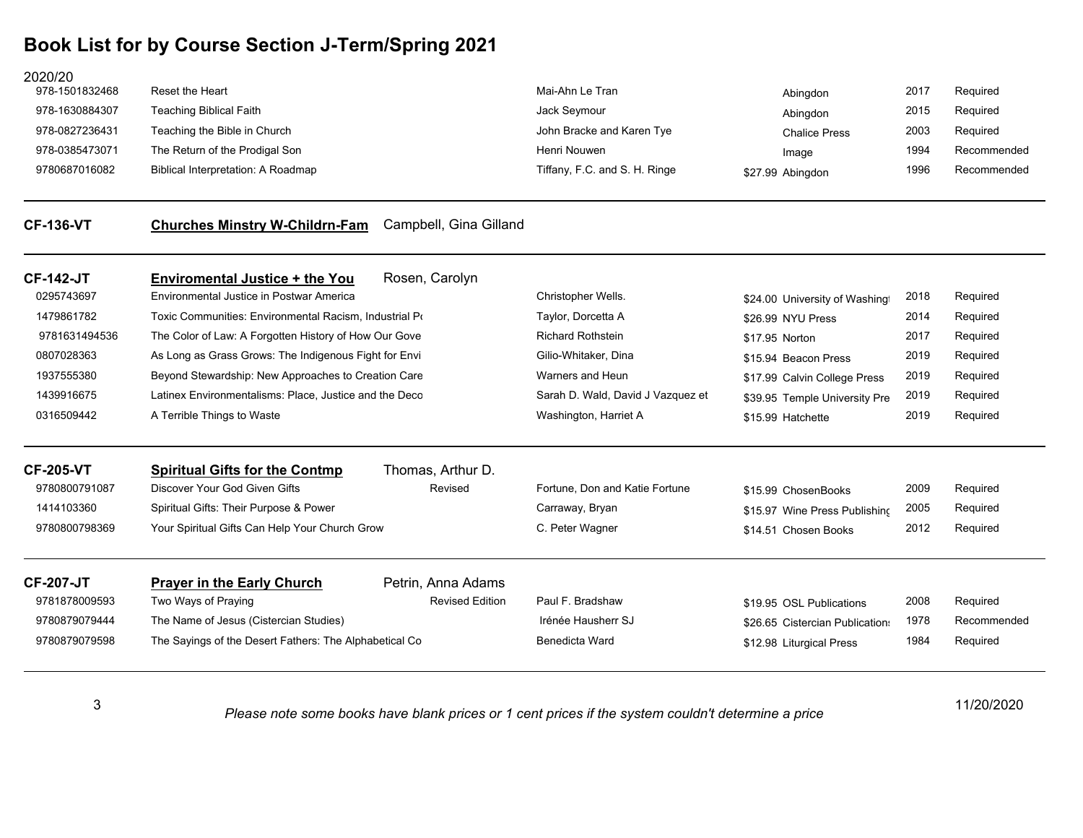**Churches Minstry W-Childrn-Fam** Campbell, Gina Gilland

| 2020/20        |                                    |                               |                      |      |             |
|----------------|------------------------------------|-------------------------------|----------------------|------|-------------|
| 978-1501832468 | Reset the Heart                    | Mai-Ahn Le Tran               | Abingdon             | 2017 | Required    |
| 978-1630884307 | <b>Teaching Biblical Faith</b>     | Jack Seymour                  | Abingdon             | 2015 | Required    |
| 978-0827236431 | Teaching the Bible in Church       | John Bracke and Karen Tye     | <b>Chalice Press</b> | 2003 | Required    |
| 978-0385473071 | The Return of the Prodigal Son     | Henri Nouwen                  | Image                | 1994 | Recommended |
| 9780687016082  | Biblical Interpretation: A Roadmap | Tiffany, F.C. and S. H. Ringe | \$27.99 Abingdon     | 1996 | Recommended |
|                |                                    |                               |                      |      |             |
|                |                                    |                               |                      |      |             |

| <b>CF-142-JT</b> | <b>Enviromental Justice + the You</b>                                                                                                                    | Rosen, Carolyn               |                                   |                                 |      |             |
|------------------|----------------------------------------------------------------------------------------------------------------------------------------------------------|------------------------------|-----------------------------------|---------------------------------|------|-------------|
| 0295743697       | Environmental Justice in Postwar America                                                                                                                 |                              | Christopher Wells.                | \$24.00 University of Washing   | 2018 | Required    |
| 1479861782       | Toxic Communities: Environmental Racism, Industrial Po                                                                                                   |                              | Taylor, Dorcetta A                | \$26.99 NYU Press               | 2014 | Required    |
| 9781631494536    | The Color of Law: A Forgotten History of How Our Gove                                                                                                    |                              | <b>Richard Rothstein</b>          | \$17.95 Norton                  | 2017 | Required    |
| 0807028363       | As Long as Grass Grows: The Indigenous Fight for Envi<br>Gilio-Whitaker, Dina<br>Beyond Stewardship: New Approaches to Creation Care<br>Warners and Heun | \$15.94 Beacon Press         | 2019                              | Required                        |      |             |
| 1937555380       |                                                                                                                                                          | \$17.99 Calvin College Press | 2019                              | Required                        |      |             |
| 1439916675       | Latinex Environmentalisms: Place, Justice and the Deco                                                                                                   |                              | Sarah D. Wald, David J Vazquez et | \$39.95 Temple University Pre   | 2019 | Required    |
| 0316509442       | A Terrible Things to Waste                                                                                                                               |                              | Washington, Harriet A             | \$15.99 Hatchette               | 2019 | Required    |
| <b>CF-205-VT</b> | <b>Spiritual Gifts for the Contmp</b>                                                                                                                    | Thomas, Arthur D.            |                                   |                                 |      |             |
| 9780800791087    | Discover Your God Given Gifts                                                                                                                            | Revised                      | Fortune. Don and Katie Fortune    | \$15.99 ChosenBooks             | 2009 | Required    |
| 1414103360       | Spiritual Gifts: Their Purpose & Power                                                                                                                   |                              | Carraway, Bryan                   | \$15.97 Wine Press Publishing   | 2005 | Required    |
| 9780800798369    | Your Spiritual Gifts Can Help Your Church Grow                                                                                                           |                              | C. Peter Wagner                   | \$14.51 Chosen Books            | 2012 | Required    |
| <b>CF-207-JT</b> | <b>Prayer in the Early Church</b>                                                                                                                        | Petrin, Anna Adams           |                                   |                                 |      |             |
| 9781878009593    | Two Ways of Praying                                                                                                                                      | <b>Revised Edition</b>       | Paul F. Bradshaw                  | \$19.95 OSL Publications        | 2008 | Required    |
| 9780879079444    | The Name of Jesus (Cistercian Studies)                                                                                                                   |                              | Irénée Hausherr SJ                | \$26.65 Cistercian Publications | 1978 | Recommended |
| 9780879079598    | The Sayings of the Desert Fathers: The Alphabetical Co.                                                                                                  |                              | Benedicta Ward                    | \$12.98 Liturgical Press        | 1984 | Required    |

3

**CF-136-**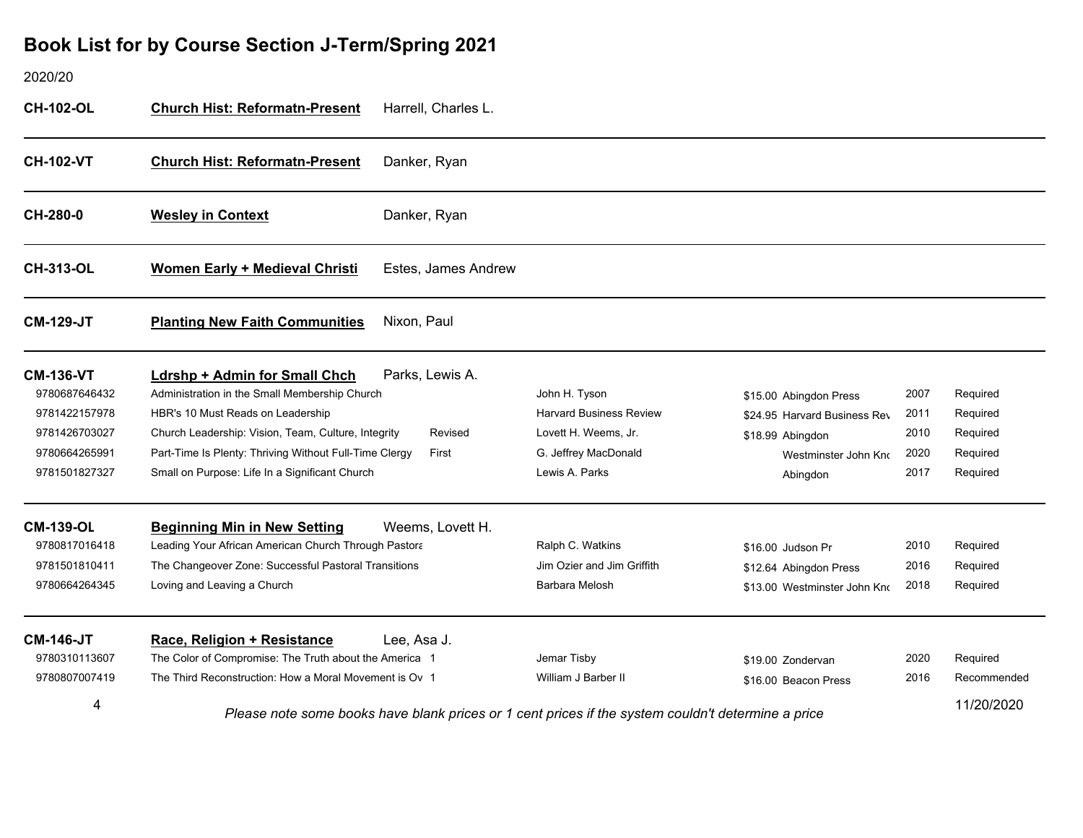#### 2020/20**CH-102-OL Church Hist: Reformatn-Present** Harrell, Charles L. **CH-102-Church Hist: Reformatn-Present** <u>t</u> Danker, Ryan **CH-280-0 WesleWesley in Context** Danker, Ryan **CH-313-OLWomen Early + Medieval Christi Estes, James Andrew CM-129-JT PlantinPlanting New Faith Communities** Nixon, Paul **CM-136-VT Ldrsh p + Admin for Small Chch** Parks, Lewis A. 9780687646432Administration in the Small Membership Church **John H. Tyson** John H. Tyson \$15.00 Abingdon Press 2007 Required 9781422157978HBR's 10 Must Reads on Leadership **Harvard Business Review** \$24.95 Harvard Business Rev<sup>2011</sup> Required 9781426703027Church Leadership: Vision, Team, Culture, Integrity Revised Lovett H. Weems, Jr. \$18.99 Abingdon 2010 Required 9780664265991Part-Time Is Plenty: Thriving Without Full-Time Clergy First G. Jeffrey MacDonald Westminster John Known C. Jeffrey MacDonald 2020 Required 9781501827327Small on Purpose: Life In a Significant Church **Lewis A. Parks** Lewis A. Parks **Abingdon** 2017 Required **CM-139-OL Be ginnin g Min in New Settin g** Weems, Lovett H. 9780817016418Leading Your African American Church Through Pastora **Ralph C. Watkins Ralph C. Watkins** \$16.00 Judson Pr 2010 Required 9781501810411The Changeover Zone: Successful Pastoral Transitions The State of Lim Ozier and Jim Griffith The State 1.64 Abingdon Press 2016 Required 9780664264345Loving and Leaving a Church **Barbara Melosh Barbara Melosh** \$13.00 Westminster John Knr and Pequired **CM-146-JT Race, Reli gion + Resistance** Lee, Asa J. 9780310113607The Color of Compromise: The Truth about the America 1 Jemar Tisby \$19.00 Zondervan 2020 Required 9780807007419The Third Reconstruction: How a Moral Movement is Ov 1 William J Barber II \$16.00 Beacon Press 2016 Recommended 411/20/2020 *Please note some books have blank prices or 1 cent prices if the system couldn't determine a price*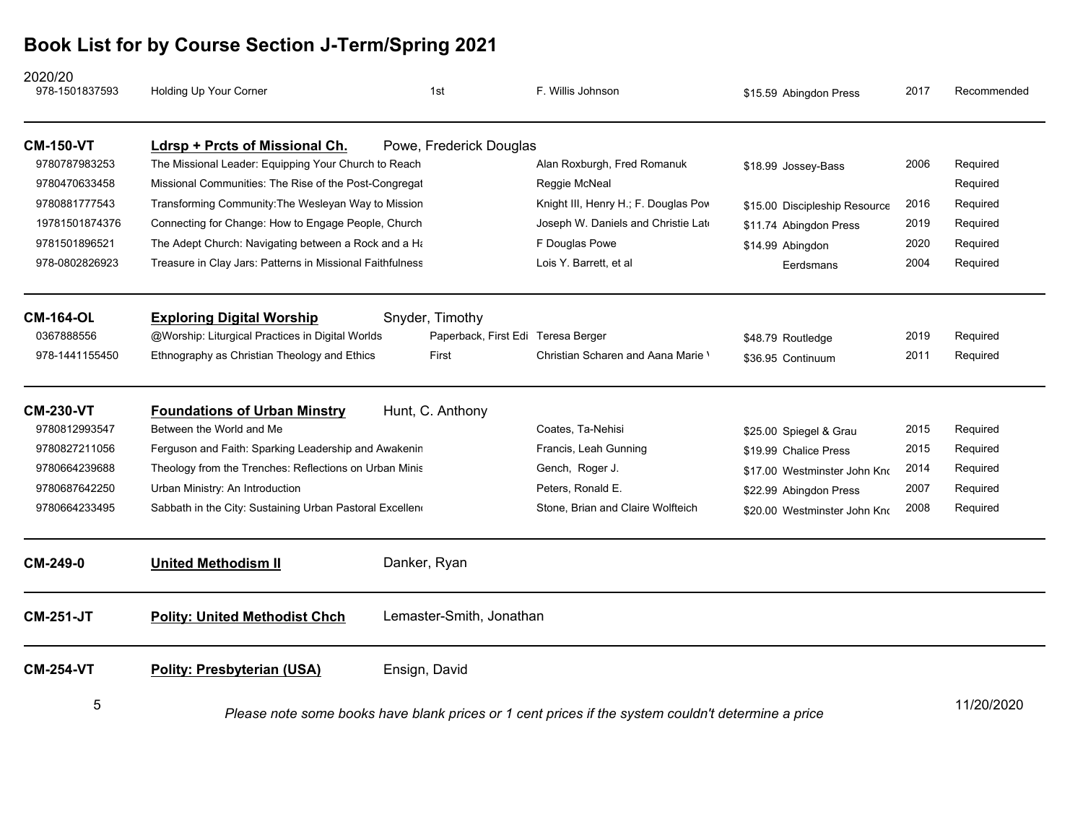| 2020/20<br>978-1501837593 | Holding Up Your Corner                                                                             | 1st                                | F. Willis Johnson                    | \$15.59 Abingdon Press        | 2017 | Recommended |
|---------------------------|----------------------------------------------------------------------------------------------------|------------------------------------|--------------------------------------|-------------------------------|------|-------------|
| <b>CM-150-VT</b>          | Ldrsp + Prcts of Missional Ch.                                                                     | Powe, Frederick Douglas            |                                      |                               |      |             |
| 9780787983253             | The Missional Leader: Equipping Your Church to Reach                                               |                                    | Alan Roxburgh, Fred Romanuk          | \$18.99 Jossey-Bass           | 2006 | Required    |
| 9780470633458             | Missional Communities: The Rise of the Post-Congregat                                              |                                    | Reggie McNeal                        |                               |      | Required    |
| 9780881777543             | Transforming Community: The Wesleyan Way to Mission                                                |                                    | Knight III, Henry H.; F. Douglas Pow | \$15.00 Discipleship Resource | 2016 | Required    |
| 19781501874376            | Connecting for Change: How to Engage People, Church                                                |                                    | Joseph W. Daniels and Christie Late  | \$11.74 Abingdon Press        | 2019 | Required    |
| 9781501896521             | The Adept Church: Navigating between a Rock and a Ha                                               |                                    | F Douglas Powe                       | \$14.99 Abingdon              | 2020 | Required    |
| 978-0802826923            | Treasure in Clay Jars: Patterns in Missional Faithfulness                                          |                                    | Lois Y. Barrett, et al               | Eerdsmans                     | 2004 | Required    |
| <b>CM-164-OL</b>          | <b>Exploring Digital Worship</b>                                                                   | Snyder, Timothy                    |                                      |                               |      |             |
| 0367888556                | @Worship: Liturgical Practices in Digital Worlds                                                   | Paperback, First Edi Teresa Berger |                                      | \$48.79 Routledge             | 2019 | Required    |
| 978-1441155450            | Ethnography as Christian Theology and Ethics                                                       | First                              | Christian Scharen and Aana Marie \   | \$36.95 Continuum             | 2011 | Required    |
| <b>CM-230-VT</b>          | <b>Foundations of Urban Minstry</b>                                                                | Hunt, C. Anthony                   |                                      |                               |      |             |
| 9780812993547             | Between the World and Me                                                                           |                                    | Coates, Ta-Nehisi                    | \$25.00 Spiegel & Grau        | 2015 | Required    |
| 9780827211056             | Ferguson and Faith: Sparking Leadership and Awakenin                                               |                                    | Francis, Leah Gunning                | \$19.99 Chalice Press         | 2015 | Required    |
| 9780664239688             | Theology from the Trenches: Reflections on Urban Minis                                             |                                    | Gench, Roger J.                      | \$17.00 Westminster John Kno  | 2014 | Required    |
| 9780687642250             | Urban Ministry: An Introduction                                                                    |                                    | Peters, Ronald E.                    | \$22.99 Abingdon Press        | 2007 | Required    |
| 9780664233495             | Sabbath in the City: Sustaining Urban Pastoral Excellen                                            |                                    | Stone, Brian and Claire Wolfteich    | \$20.00 Westminster John Kno  | 2008 | Required    |
| CM-249-0                  | <b>United Methodism II</b>                                                                         | Danker, Ryan                       |                                      |                               |      |             |
| <b>CM-251-JT</b>          | <b>Polity: United Methodist Chch</b>                                                               | Lemaster-Smith, Jonathan           |                                      |                               |      |             |
| <b>CM-254-VT</b>          | <b>Polity: Presbyterian (USA)</b>                                                                  | Ensign, David                      |                                      |                               |      |             |
| 5                         | Please note some books have blank prices or 1 cent prices if the system couldn't determine a price |                                    |                                      |                               |      | 11/20/2020  |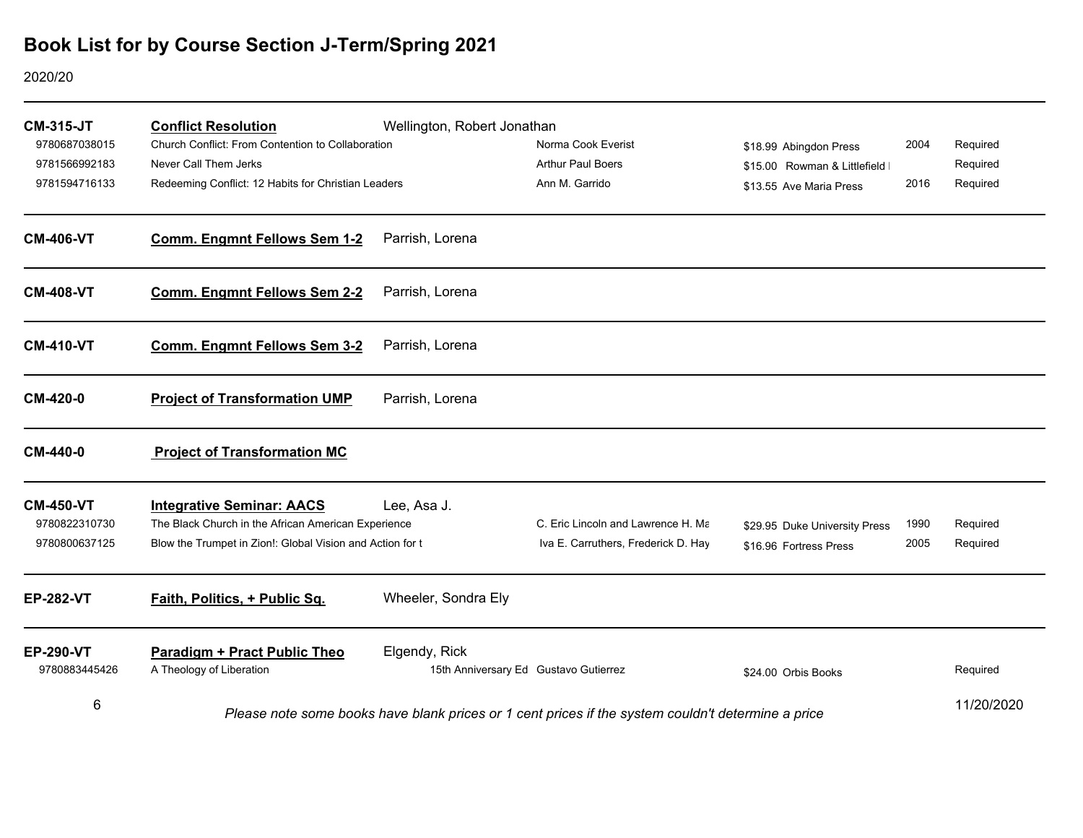2020/20

| <b>CM-315-JT</b><br>9780687038015<br>9781566992183<br>9781594716133 | <b>Conflict Resolution</b><br>Church Conflict: From Contention to Collaboration<br>Never Call Them Jerks<br>Redeeming Conflict: 12 Habits for Christian Leaders | Wellington, Robert Jonathan | Norma Cook Everist<br><b>Arthur Paul Boers</b><br>Ann M. Garrido                                   | \$18.99 Abingdon Press<br>\$15.00 Rowman & Littlefield I<br>\$13.55 Ave Maria Press | 2004<br>2016 | Required<br>Required<br>Required |
|---------------------------------------------------------------------|-----------------------------------------------------------------------------------------------------------------------------------------------------------------|-----------------------------|----------------------------------------------------------------------------------------------------|-------------------------------------------------------------------------------------|--------------|----------------------------------|
| <b>CM-406-VT</b>                                                    | <b>Comm. Engmnt Fellows Sem 1-2</b>                                                                                                                             | Parrish, Lorena             |                                                                                                    |                                                                                     |              |                                  |
| <b>CM-408-VT</b>                                                    | <b>Comm. Engmnt Fellows Sem 2-2</b>                                                                                                                             | Parrish, Lorena             |                                                                                                    |                                                                                     |              |                                  |
| <b>CM-410-VT</b>                                                    | <b>Comm. Engmnt Fellows Sem 3-2</b>                                                                                                                             | Parrish, Lorena             |                                                                                                    |                                                                                     |              |                                  |
| CM-420-0                                                            | <b>Project of Transformation UMP</b>                                                                                                                            | Parrish, Lorena             |                                                                                                    |                                                                                     |              |                                  |
| CM-440-0                                                            | <b>Project of Transformation MC</b>                                                                                                                             |                             |                                                                                                    |                                                                                     |              |                                  |
| <b>CM-450-VT</b><br>9780822310730<br>9780800637125                  | <b>Integrative Seminar: AACS</b><br>The Black Church in the African American Experience<br>Blow the Trumpet in Zion!: Global Vision and Action for t            | Lee, Asa J.                 | C. Eric Lincoln and Lawrence H. Ma<br>Iva E. Carruthers, Frederick D. Hay                          | \$29.95 Duke University Press<br>\$16.96 Fortress Press                             | 1990<br>2005 | Required<br>Required             |
| <b>EP-282-VT</b>                                                    | Faith, Politics, + Public Sq.                                                                                                                                   | Wheeler, Sondra Ely         |                                                                                                    |                                                                                     |              |                                  |
| <b>EP-290-VT</b><br>9780883445426                                   | <b>Paradigm + Pract Public Theo</b><br>A Theology of Liberation                                                                                                 | Elgendy, Rick               | 15th Anniversary Ed Gustavo Gutierrez                                                              | \$24.00 Orbis Books                                                                 |              | Required                         |
| 6                                                                   |                                                                                                                                                                 |                             | Please note some books have blank prices or 1 cent prices if the system couldn't determine a price |                                                                                     |              | 11/20/2020                       |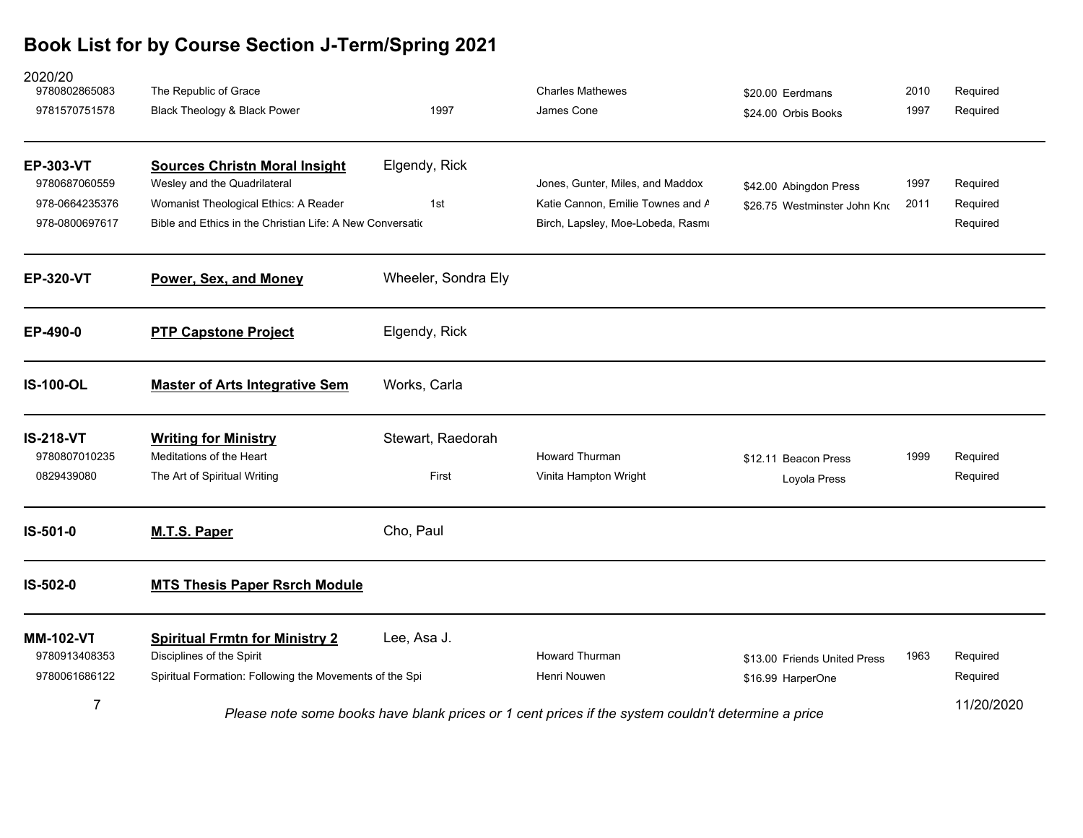| 2020/20<br>9780802865083          | The Republic of Grace                                                                              |                     | <b>Charles Mathewes</b>           | \$20.00 Eerdmans             | 2010 | Required   |
|-----------------------------------|----------------------------------------------------------------------------------------------------|---------------------|-----------------------------------|------------------------------|------|------------|
| 9781570751578                     | Black Theology & Black Power                                                                       | 1997                | James Cone                        | \$24.00 Orbis Books          | 1997 | Required   |
| <b>EP-303-VT</b>                  | <b>Sources Christn Moral Insight</b>                                                               | Elgendy, Rick       |                                   |                              |      |            |
| 9780687060559                     | Wesley and the Quadrilateral                                                                       |                     | Jones, Gunter, Miles, and Maddox  | \$42.00 Abingdon Press       | 1997 | Required   |
| 978-0664235376                    | Womanist Theological Ethics: A Reader                                                              | 1st                 | Katie Cannon, Emilie Townes and A | \$26.75 Westminster John Kno | 2011 | Required   |
| 978-0800697617                    | Bible and Ethics in the Christian Life: A New Conversation                                         |                     | Birch, Lapsley, Moe-Lobeda, Rasmı |                              |      | Required   |
| <b>EP-320-VT</b>                  | Power, Sex, and Money                                                                              | Wheeler, Sondra Ely |                                   |                              |      |            |
| EP-490-0                          | <b>PTP Capstone Project</b>                                                                        | Elgendy, Rick       |                                   |                              |      |            |
| <b>IS-100-OL</b>                  | <b>Master of Arts Integrative Sem</b>                                                              | Works, Carla        |                                   |                              |      |            |
| <b>IS-218-VT</b><br>9780807010235 | <b>Writing for Ministry</b><br>Meditations of the Heart                                            | Stewart, Raedorah   | <b>Howard Thurman</b>             | \$12.11 Beacon Press         | 1999 | Required   |
| 0829439080                        | The Art of Spiritual Writing                                                                       | First               | Vinita Hampton Wright             | Loyola Press                 |      | Required   |
| IS-501-0                          | <b>M.T.S. Paper</b>                                                                                | Cho, Paul           |                                   |                              |      |            |
| IS-502-0                          | <b>MTS Thesis Paper Rsrch Module</b>                                                               |                     |                                   |                              |      |            |
| <b>MM-102-VT</b>                  | <b>Spiritual Frmtn for Ministry 2</b>                                                              | Lee, Asa J.         |                                   |                              |      |            |
| 9780913408353                     | Disciplines of the Spirit                                                                          |                     | <b>Howard Thurman</b>             | \$13.00 Friends United Press | 1963 | Required   |
| 9780061686122                     | Spiritual Formation: Following the Movements of the Spi                                            |                     | Henri Nouwen                      | \$16.99 HarperOne            |      | Required   |
| $\overline{7}$                    | Please note some books have blank prices or 1 cent prices if the system couldn't determine a price |                     |                                   |                              |      | 11/20/2020 |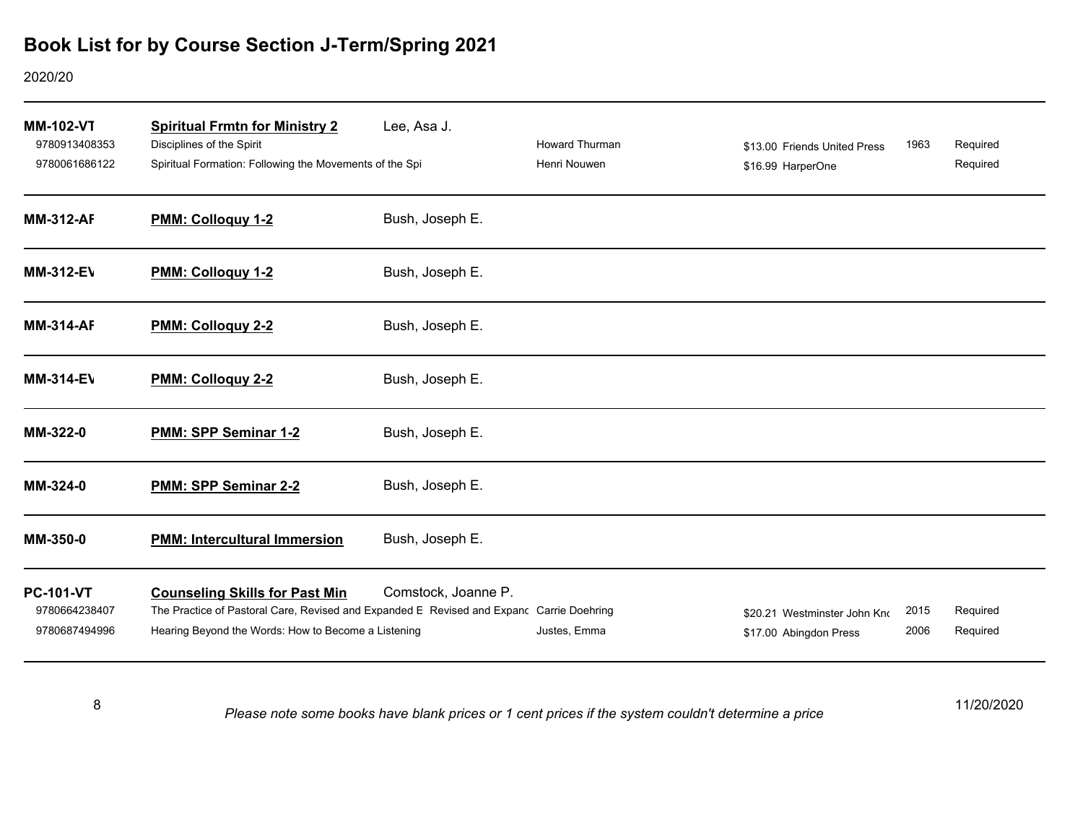### 2020/20

| <b>MM-102-VT</b><br>9780913408353<br>9780061686122 | <b>Spiritual Frmtn for Ministry 2</b><br>Disciplines of the Spirit<br>Spiritual Formation: Following the Movements of the Spi                                                            | Lee, Asa J.         | <b>Howard Thurman</b><br>Henri Nouwen | \$13.00 Friends United Press<br>\$16.99 HarperOne      | 1963         | Required<br>Required |
|----------------------------------------------------|------------------------------------------------------------------------------------------------------------------------------------------------------------------------------------------|---------------------|---------------------------------------|--------------------------------------------------------|--------------|----------------------|
| <b>MM-312-AF</b>                                   | PMM: Colloquy 1-2                                                                                                                                                                        | Bush, Joseph E.     |                                       |                                                        |              |                      |
| <b>MM-312-EV</b>                                   | PMM: Colloquy 1-2                                                                                                                                                                        | Bush, Joseph E.     |                                       |                                                        |              |                      |
| <b>MM-314-AF</b>                                   | PMM: Colloquy 2-2                                                                                                                                                                        | Bush, Joseph E.     |                                       |                                                        |              |                      |
| <b>MM-314-EV</b>                                   | PMM: Colloquy 2-2                                                                                                                                                                        | Bush, Joseph E.     |                                       |                                                        |              |                      |
| MM-322-0                                           | PMM: SPP Seminar 1-2                                                                                                                                                                     | Bush, Joseph E.     |                                       |                                                        |              |                      |
| MM-324-0                                           | PMM: SPP Seminar 2-2                                                                                                                                                                     | Bush, Joseph E.     |                                       |                                                        |              |                      |
| MM-350-0                                           | <b>PMM: Intercultural Immersion</b>                                                                                                                                                      | Bush, Joseph E.     |                                       |                                                        |              |                      |
| <b>PC-101-VT</b><br>9780664238407<br>9780687494996 | <b>Counseling Skills for Past Min</b><br>The Practice of Pastoral Care, Revised and Expanded E Revised and Expanc Carrie Doehring<br>Hearing Beyond the Words: How to Become a Listening | Comstock, Joanne P. | Justes, Emma                          | \$20.21 Westminster John Kno<br>\$17.00 Abingdon Press | 2015<br>2006 | Required<br>Required |

8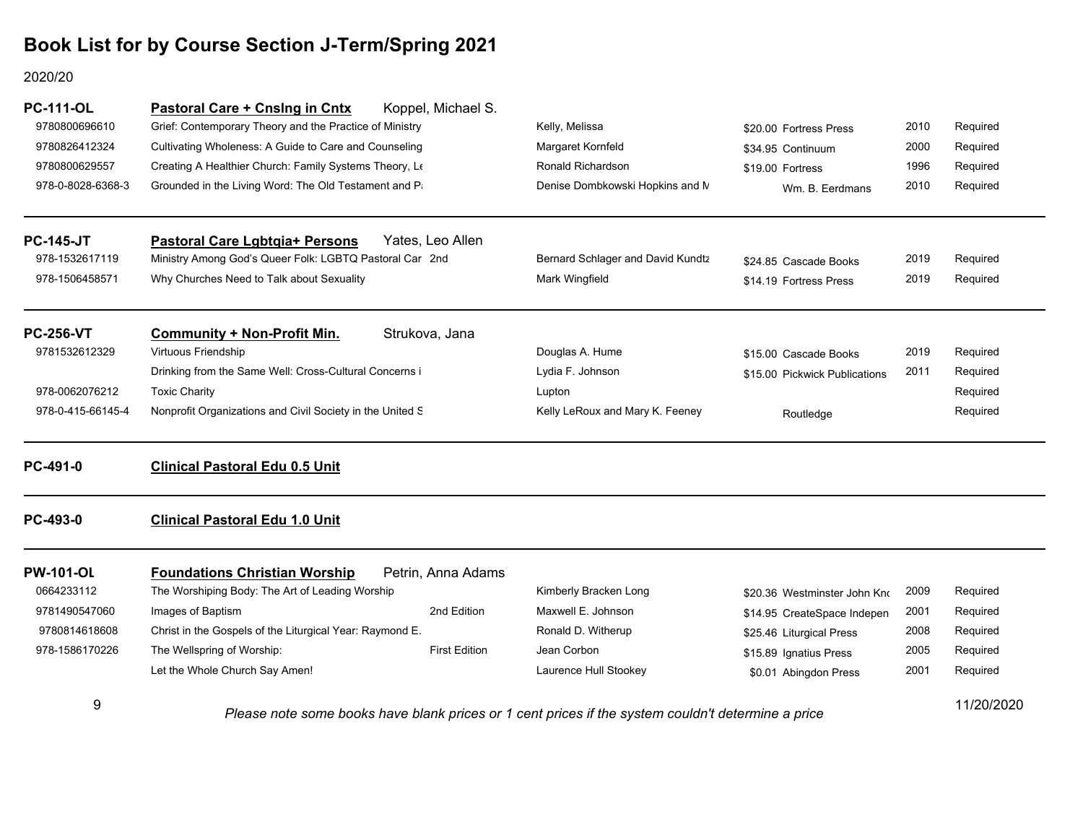### 2020/20

| <b>PC-111-OL</b>  | Koppel, Michael S.<br>Pastoral Care + Cnslng in Cntx       |                                     |                               |      |            |
|-------------------|------------------------------------------------------------|-------------------------------------|-------------------------------|------|------------|
| 9780800696610     | Grief: Contemporary Theory and the Practice of Ministry    | Kelly, Melissa                      | \$20.00 Fortress Press        | 2010 | Required   |
| 9780826412324     | Cultivating Wholeness: A Guide to Care and Counseling      | Margaret Kornfeld                   | \$34.95 Continuum             | 2000 | Required   |
| 9780800629557     | Creating A Healthier Church: Family Systems Theory, Le     | Ronald Richardson                   | \$19.00 Fortress              | 1996 | Required   |
| 978-0-8028-6368-3 | Grounded in the Living Word: The Old Testament and Pa      | Denise Dombkowski Hopkins and N     | Wm. B. Eerdmans               | 2010 | Required   |
| <b>PC-145-JT</b>  | Yates, Leo Allen<br><b>Pastoral Care Lgbtgia+ Persons</b>  |                                     |                               |      |            |
| 978-1532617119    | Ministry Among God's Queer Folk: LGBTQ Pastoral Car 2nd    | Bernard Schlager and David Kundtz   | \$24.85 Cascade Books         | 2019 | Required   |
| 978-1506458571    | Why Churches Need to Talk about Sexuality                  | Mark Wingfield                      | \$14.19 Fortress Press        | 2019 | Required   |
| <b>PC-256-VT</b>  | Strukova, Jana<br><b>Community + Non-Profit Min.</b>       |                                     |                               |      |            |
| 9781532612329     | Virtuous Friendship                                        | Douglas A. Hume                     | \$15.00 Cascade Books         | 2019 | Required   |
|                   | Drinking from the Same Well: Cross-Cultural Concerns i     | Lydia F. Johnson                    | \$15.00 Pickwick Publications | 2011 | Required   |
| 978-0062076212    | <b>Toxic Charity</b>                                       | Lupton                              |                               |      | Required   |
| 978-0-415-66145-4 | Nonprofit Organizations and Civil Society in the United S  | Kelly LeRoux and Mary K. Feeney     | Routledge                     |      | Required   |
| PC-491-0          | <b>Clinical Pastoral Edu 0.5 Unit</b>                      |                                     |                               |      |            |
| PC-493-0          | <b>Clinical Pastoral Edu 1.0 Unit</b>                      |                                     |                               |      |            |
| <b>PW-101-OL</b>  | <b>Foundations Christian Worship</b><br>Petrin, Anna Adams |                                     |                               |      |            |
| 0664233112        | The Worshiping Body: The Art of Leading Worship            | Kimberly Bracken Long               | \$20.36 Westminster John Kno  | 2009 | Required   |
| 9781490547060     | Images of Baptism                                          | Maxwell E. Johnson<br>2nd Edition   | \$14.95 CreateSpace Indepen   | 2001 | Required   |
| 9780814618608     | Christ in the Gospels of the Liturgical Year: Raymond E.   | Ronald D. Witherup                  | \$25.46 Liturgical Press      | 2008 | Required   |
| 978-1586170226    | The Wellspring of Worship:                                 | <b>First Edition</b><br>Jean Corbon | \$15.89 Ignatius Press        | 2005 | Required   |
|                   | Let the Whole Church Say Amen!                             | Laurence Hull Stookey               | \$0.01 Abingdon Press         | 2001 | Required   |
| 9                 |                                                            |                                     |                               |      | 11/20/2020 |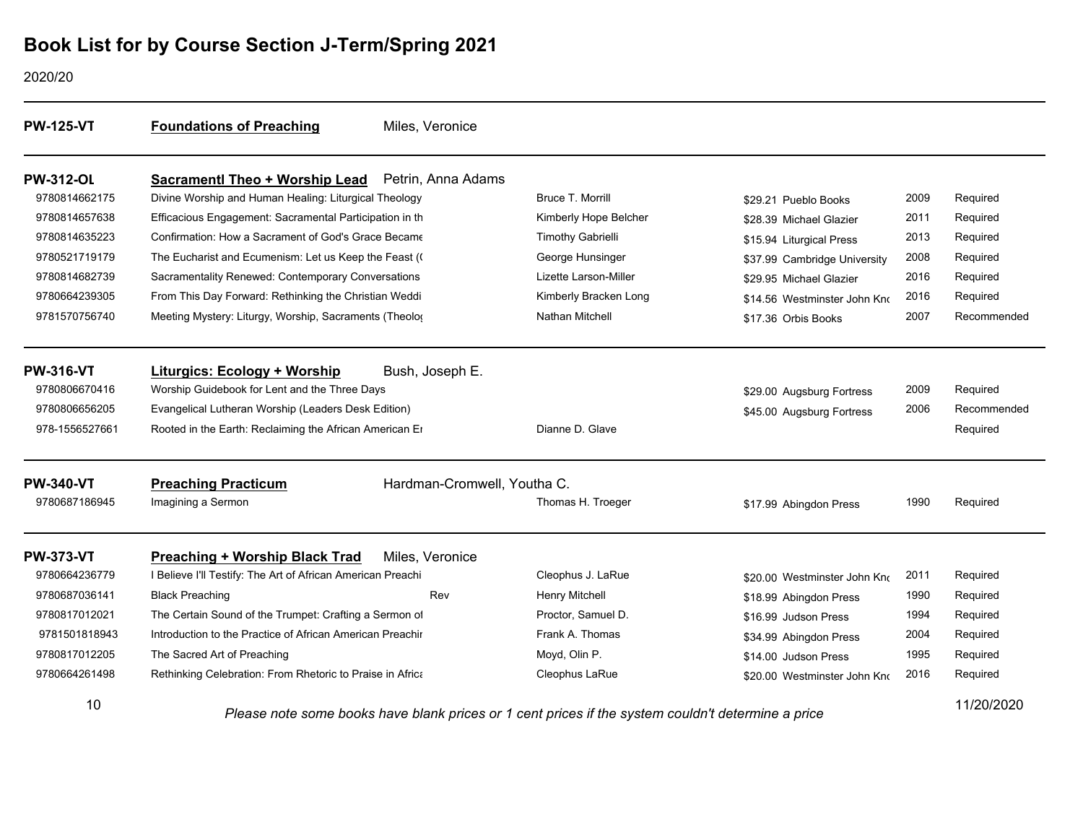2020/20

| <b>PW-125-VT</b> | <b>Foundations of Preaching</b>                             | Miles, Veronice                            |                          |                                       |      |             |
|------------------|-------------------------------------------------------------|--------------------------------------------|--------------------------|---------------------------------------|------|-------------|
| <b>PW-312-OL</b> | <b>Sacramentl Theo + Worship Lead</b>                       | Petrin, Anna Adams                         |                          |                                       |      |             |
| 9780814662175    | Divine Worship and Human Healing: Liturgical Theology       |                                            | Bruce T. Morrill         | \$29.21 Pueblo Books                  | 2009 | Required    |
| 9780814657638    | Efficacious Engagement: Sacramental Participation in th     |                                            | Kimberly Hope Belcher    | \$28.39 Michael Glazier               | 2011 | Required    |
| 9780814635223    | Confirmation: How a Sacrament of God's Grace Became         |                                            | <b>Timothy Gabrielli</b> | \$15.94 Liturgical Press              | 2013 | Required    |
| 9780521719179    | The Eucharist and Ecumenism: Let us Keep the Feast (        |                                            | George Hunsinger         | \$37.99 Cambridge University          | 2008 | Required    |
| 9780814682739    | Sacramentality Renewed: Contemporary Conversations          |                                            | Lizette Larson-Miller    | \$29.95 Michael Glazier               | 2016 | Required    |
| 9780664239305    | From This Day Forward: Rethinking the Christian Weddi       |                                            | Kimberly Bracken Long    | \$14.56 Westminster John Kno          | 2016 | Required    |
| 9781570756740    | Meeting Mystery: Liturgy, Worship, Sacraments (Theolog      |                                            | <b>Nathan Mitchell</b>   | \$17.36 Orbis Books                   | 2007 | Recommended |
| <b>PW-316-VT</b> | Liturgics: Ecology + Worship                                | Bush, Joseph E.                            |                          |                                       |      |             |
| 9780806670416    | Worship Guidebook for Lent and the Three Days               |                                            |                          | \$29.00 Augsburg Fortress             | 2009 | Required    |
| 9780806656205    | Evangelical Lutheran Worship (Leaders Desk Edition)         |                                            |                          | \$45.00 Augsburg Fortress             | 2006 | Recommended |
| 978-1556527661   | Rooted in the Earth: Reclaiming the African American Er     |                                            | Dianne D. Glave          |                                       |      | Required    |
| <b>PW-340-VT</b> | <b>Preaching Practicum</b>                                  | Hardman-Cromwell, Youtha C.                |                          |                                       |      |             |
| 9780687186945    | Imagining a Sermon                                          |                                            | Thomas H. Troeger        | \$17.99 Abingdon Press                | 1990 | Required    |
| <b>PW-373-VT</b> | <b>Preaching + Worship Black Trad</b>                       | Miles, Veronice                            |                          |                                       |      |             |
| 9780664236779    | I Believe I'll Testify: The Art of African American Preachi |                                            | Cleophus J. LaRue        | \$20.00 Westminster John Kno          | 2011 | Required    |
| 9780687036141    | <b>Black Preaching</b>                                      | Rev                                        | Henry Mitchell           | \$18.99 Abingdon Press                | 1990 | Required    |
| 9780817012021    | The Certain Sound of the Trumpet: Crafting a Sermon of      |                                            | Proctor. Samuel D.       | \$16.99 Judson Press                  | 1994 | Required    |
| 9781501818943    | Introduction to the Practice of African American Preachir   |                                            | Frank A. Thomas          | \$34.99 Abingdon Press                | 2004 | Required    |
| 9780817012205    | The Sacred Art of Preaching                                 |                                            | Moyd, Olin P.            | \$14.00 Judson Press                  | 1995 | Required    |
| 9780664261498    | Rethinking Celebration: From Rhetoric to Praise in Africa   |                                            | Cleophus LaRue           | \$20.00 Westminster John Kno          | 2016 | Required    |
| 10               |                                                             | فسيمر بالمرجانيات وبروحين المتعالم والمتحا |                          | is substant serificial debatementes s |      | 11/20/2020  |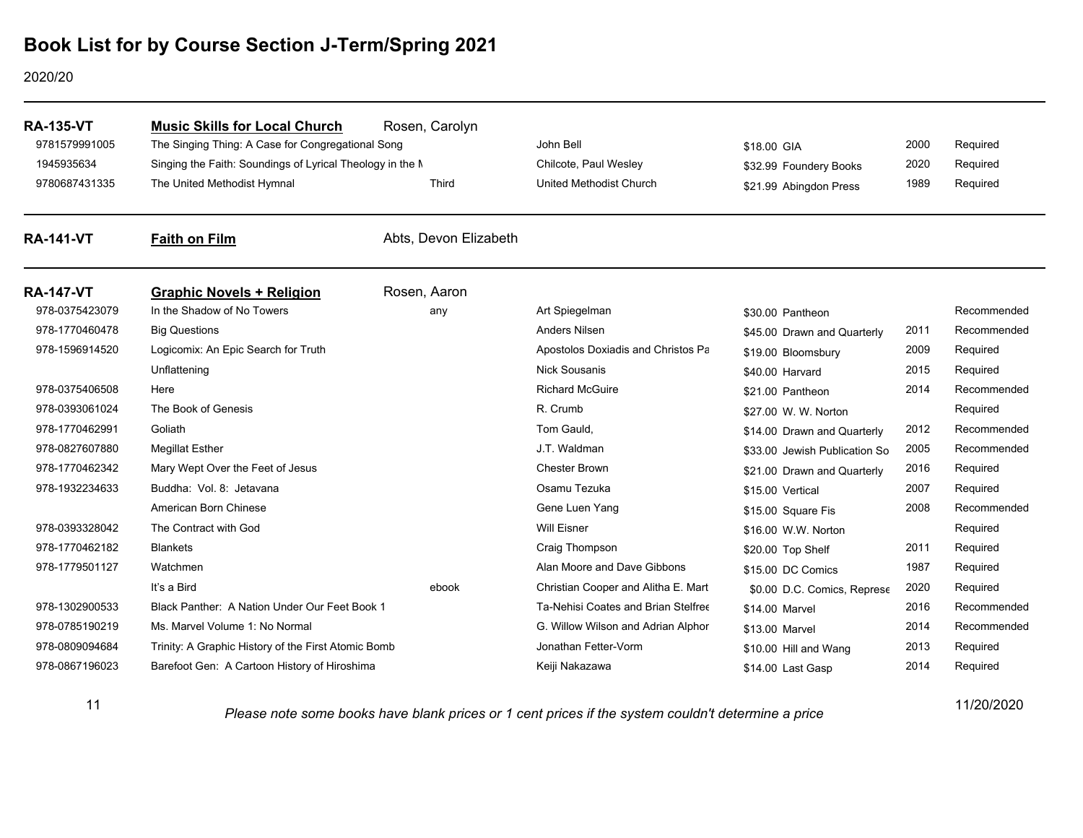#### 2020/20

| <b>RA-135-VT</b><br>9781579991005 | <b>Music Skills for Local Church</b><br>The Singing Thing: A Case for Congregational Song | Rosen, Carolyn        | John Bell                                               | \$18.00 GIA                                      | 2000         | Required             |
|-----------------------------------|-------------------------------------------------------------------------------------------|-----------------------|---------------------------------------------------------|--------------------------------------------------|--------------|----------------------|
| 1945935634<br>9780687431335       | Singing the Faith: Soundings of Lyrical Theology in the M<br>The United Methodist Hymnal  | Third                 | Chilcote, Paul Wesley<br><b>United Methodist Church</b> | \$32.99 Foundery Books<br>\$21.99 Abingdon Press | 2020<br>1989 | Required<br>Required |
| <b>RA-141-VT</b>                  | <b>Faith on Film</b>                                                                      | Abts, Devon Elizabeth |                                                         |                                                  |              |                      |
| <b>RA-147-VT</b>                  | <b>Graphic Novels + Religion</b>                                                          | Rosen, Aaron          |                                                         |                                                  |              |                      |
| 978-0375423079                    | In the Shadow of No Towers                                                                | any                   | Art Spiegelman                                          | \$30.00 Pantheon                                 |              | Recommended          |
| 978-1770460478                    | <b>Big Questions</b>                                                                      |                       | <b>Anders Nilsen</b>                                    | \$45.00 Drawn and Quarterly                      | 2011         | Recommended          |
| 978-1596914520                    | Logicomix: An Epic Search for Truth                                                       |                       | Apostolos Doxiadis and Christos Pa                      | \$19.00 Bloomsbury                               | 2009         | Required             |
|                                   | Unflattening                                                                              |                       | <b>Nick Sousanis</b>                                    | \$40.00 Harvard                                  | 2015         | Required             |
| 978-0375406508                    | Here                                                                                      |                       | <b>Richard McGuire</b>                                  | \$21.00 Pantheon                                 | 2014         | Recommended          |
| 978-0393061024                    | The Book of Genesis                                                                       |                       | R. Crumb                                                | \$27.00 W. W. Norton                             |              | Required             |
| 978-1770462991                    | Goliath                                                                                   |                       | Tom Gauld,                                              | \$14.00 Drawn and Quarterly                      | 2012         | Recommended          |
| 978-0827607880                    | <b>Megillat Esther</b>                                                                    |                       | J.T. Waldman                                            | \$33.00 Jewish Publication So                    | 2005         | Recommended          |
| 978-1770462342                    | Mary Wept Over the Feet of Jesus                                                          |                       | <b>Chester Brown</b>                                    | \$21.00 Drawn and Quarterly                      | 2016         | Required             |
| 978-1932234633                    | Buddha: Vol. 8: Jetavana                                                                  |                       | Osamu Tezuka                                            | \$15.00 Vertical                                 | 2007         | Required             |
|                                   | American Born Chinese                                                                     |                       | Gene Luen Yang                                          | \$15.00 Square Fis                               | 2008         | Recommended          |
| 978-0393328042                    | The Contract with God                                                                     |                       | <b>Will Eisner</b>                                      | \$16.00 W.W. Norton                              |              | Required             |
| 978-1770462182                    | <b>Blankets</b>                                                                           |                       | Craig Thompson                                          | \$20.00 Top Shelf                                | 2011         | Required             |
| 978-1779501127                    | Watchmen                                                                                  |                       | Alan Moore and Dave Gibbons                             | \$15.00 DC Comics                                | 1987         | Required             |
|                                   | It's a Bird                                                                               | ebook                 | Christian Cooper and Alitha E. Mart                     | \$0.00 D.C. Comics, Represe                      | 2020         | Required             |
| 978-1302900533                    | Black Panther: A Nation Under Our Feet Book 1                                             |                       | Ta-Nehisi Coates and Brian Stelfree                     | \$14.00 Marvel                                   | 2016         | Recommended          |
| 978-0785190219                    | Ms. Marvel Volume 1: No Normal                                                            |                       | G. Willow Wilson and Adrian Alphor                      | \$13.00 Marvel                                   | 2014         | Recommended          |
| 978-0809094684                    | Trinity: A Graphic History of the First Atomic Bomb                                       |                       | Jonathan Fetter-Vorm                                    | \$10.00 Hill and Wang                            | 2013         | Required             |
| 978-0867196023                    | Barefoot Gen: A Cartoon History of Hiroshima                                              |                       | Keiji Nakazawa                                          | \$14.00 Last Gasp                                | 2014         | Required             |

11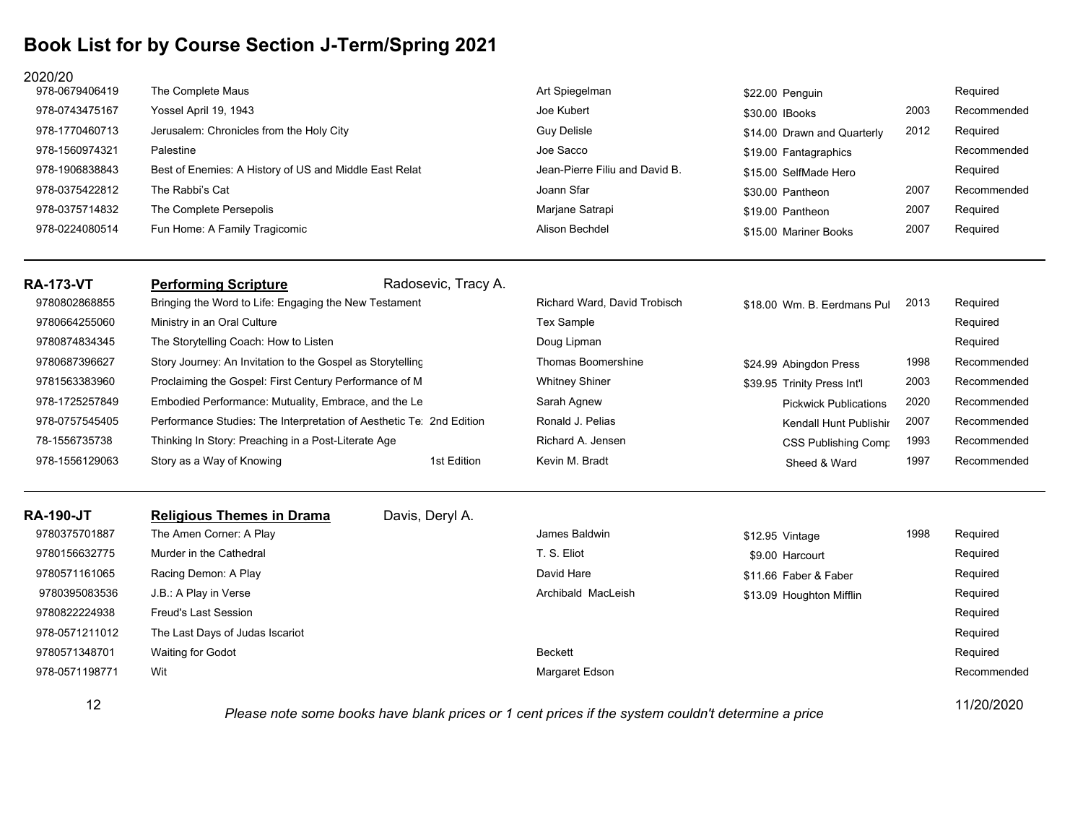### 2020/20

| <b>RA-173-VT</b><br>9780802868855 | Radosevic, Tracy A.<br><b>Performing Scripture</b><br>Bringing the Word to Life: Engaging the New Testament | Richard Ward, David Trobisch   | \$18.00 Wm. B. Eerdmans Pul | 2013 | Required    |
|-----------------------------------|-------------------------------------------------------------------------------------------------------------|--------------------------------|-----------------------------|------|-------------|
| 978-0224080514                    | Fun Home: A Family Tragicomic                                                                               | Alison Bechdel                 | \$15.00 Mariner Books       | 2007 | Required    |
| 978-0375714832                    | The Complete Persepolis                                                                                     | Marjane Satrapi                | \$19.00 Pantheon            | 2007 | Required    |
| 978-0375422812                    | The Rabbi's Cat                                                                                             | Joann Sfar                     | \$30.00 Pantheon            | 2007 | Recommended |
| 978-1906838843                    | Best of Enemies: A History of US and Middle East Relat                                                      | Jean-Pierre Filiu and David B. | \$15.00 SelfMade Hero       |      | Required    |
| 978-1560974321                    | Palestine                                                                                                   | Joe Sacco                      | \$19.00 Fantagraphics       |      | Recommended |
| 978-1770460713                    | Jerusalem: Chronicles from the Holy City                                                                    | <b>Guy Delisle</b>             | \$14.00 Drawn and Quarterly | 2012 | Required    |
| 978-0743475167                    | Yossel April 19, 1943                                                                                       | Joe Kubert                     | \$30.00 IBooks              | 2003 | Recommended |
| 978-0679406419                    | The Complete Maus                                                                                           | Art Spiegelman                 | \$22.00 Penguin             |      | Required    |

| 9780664255060  | Ministry in an Oral Culture                                          |             | <b>Tex Sample</b>     |                              |      | Required    |
|----------------|----------------------------------------------------------------------|-------------|-----------------------|------------------------------|------|-------------|
| 9780874834345  | The Storytelling Coach: How to Listen                                |             | Doug Lipman           |                              |      | Required    |
| 9780687396627  | Story Journey: An Invitation to the Gospel as Storytelling           |             | Thomas Boomershine    | \$24.99 Abingdon Press       | 1998 | Recommended |
| 9781563383960  | Proclaiming the Gospel: First Century Performance of M               |             | <b>Whitney Shiner</b> | \$39.95 Trinity Press Int'l  | 2003 | Recommended |
| 978-1725257849 | Embodied Performance: Mutuality, Embrace, and the Le                 |             | Sarah Agnew           | <b>Pickwick Publications</b> | 2020 | Recommended |
| 978-0757545405 | Performance Studies: The Interpretation of Aesthetic Te: 2nd Edition |             | Ronald J. Pelias      | Kendall Hunt Publishir       | 2007 | Recommended |
| 78-1556735738  | Thinking In Story: Preaching in a Post-Literate Age                  |             | Richard A. Jensen     | CSS Publishing Comp          | 1993 | Recommended |
| 978-1556129063 | Story as a Way of Knowing                                            | 1st Edition | Kevin M. Bradt        | Sheed & Ward                 | 1997 | Recommended |

| <b>RA-190-JT</b> | <b>Religious Themes in Drama</b> | Davis, Deryl A. |                                                                                                         |                          |      |             |
|------------------|----------------------------------|-----------------|---------------------------------------------------------------------------------------------------------|--------------------------|------|-------------|
| 9780375701887    | The Amen Corner: A Play          |                 | James Baldwin                                                                                           | \$12.95 Vintage          | 1998 | Required    |
| 9780156632775    | Murder in the Cathedral          |                 | T. S. Eliot                                                                                             | \$9.00 Harcourt          |      | Required    |
| 9780571161065    | Racing Demon: A Play             |                 | David Hare                                                                                              | \$11.66 Faber & Faber    |      | Required    |
| 9780395083536    | J.B.: A Play in Verse            |                 | Archibald MacLeish                                                                                      | \$13.09 Houghton Mifflin |      | Required    |
| 9780822224938    | <b>Freud's Last Session</b>      |                 |                                                                                                         |                          |      | Required    |
| 978-0571211012   | The Last Days of Judas Iscariot  |                 |                                                                                                         |                          |      | Required    |
| 9780571348701    | <b>Waiting for Godot</b>         |                 | <b>Beckett</b>                                                                                          |                          |      | Required    |
| 978-0571198771   | Wit                              |                 | Margaret Edson                                                                                          |                          |      | Recommended |
| 12               |                                  |                 | Dissa nata sana baalis baris blank nutaes and sant nutaes if the scribus as children datamatics a nutae |                          |      | 11/20/2020  |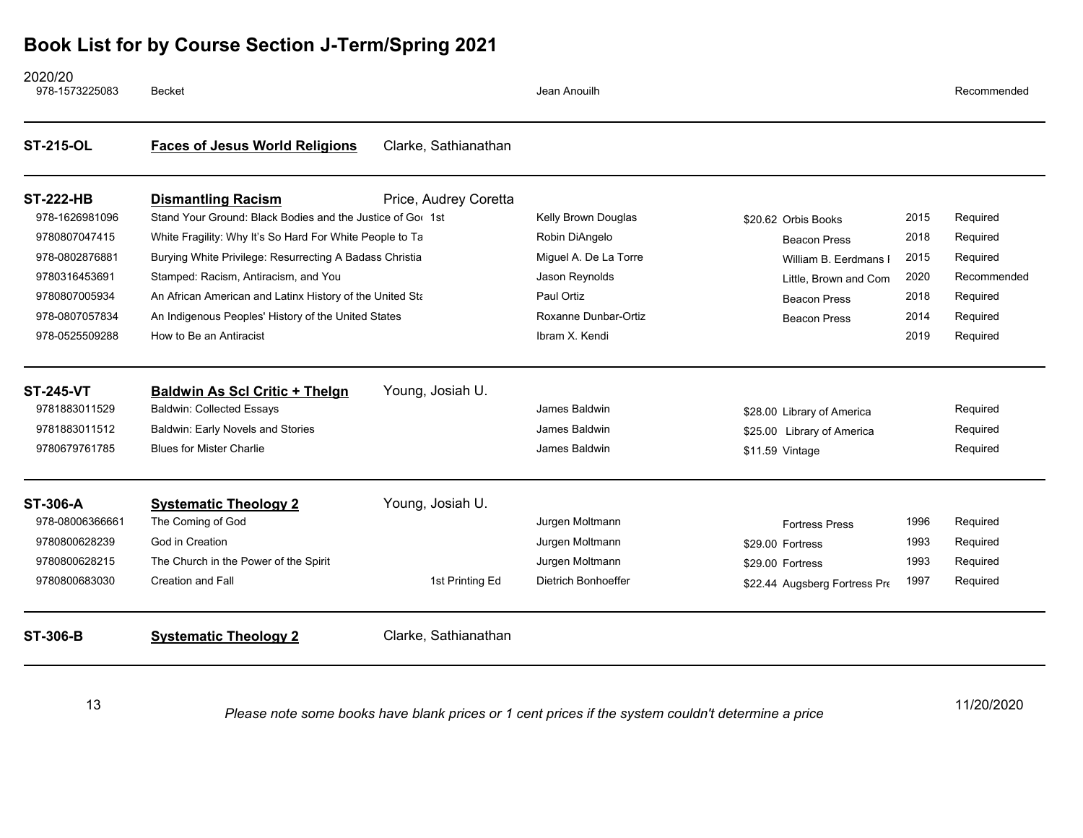| <b>ST-306-B</b>                    | <b>Systematic Theology 2</b>                                                            | Clarke, Sathianathan  |                            |                               |      |             |
|------------------------------------|-----------------------------------------------------------------------------------------|-----------------------|----------------------------|-------------------------------|------|-------------|
| 9780800683030                      | <b>Creation and Fall</b>                                                                | 1st Printing Ed       | <b>Dietrich Bonhoeffer</b> | \$22.44 Augsberg Fortress Pre | 1997 | Required    |
| 9780800628215                      | The Church in the Power of the Spirit                                                   |                       | Jurgen Moltmann            | \$29.00 Fortress              | 1993 | Required    |
| 9780800628239                      | God in Creation                                                                         |                       | Jurgen Moltmann            | \$29.00 Fortress              | 1993 | Required    |
| 978-08006366661                    | The Coming of God                                                                       |                       | Jurgen Moltmann            | <b>Fortress Press</b>         | 1996 | Required    |
| <b>ST-306-A</b>                    | <b>Systematic Theology 2</b>                                                            | Young, Josiah U.      |                            |                               |      |             |
| 9780679761785                      | <b>Blues for Mister Charlie</b>                                                         |                       | James Baldwin              | \$11.59 Vintage               |      | Required    |
| 9781883011512                      | <b>Baldwin: Early Novels and Stories</b>                                                |                       | James Baldwin              | \$25.00 Library of America    |      | Required    |
| 9781883011529                      | <b>Baldwin: Collected Essays</b>                                                        |                       | James Baldwin              | \$28.00 Library of America    |      | Required    |
| <b>ST-245-VT</b>                   | <b>Baldwin As Scl Critic + Thelgn</b>                                                   | Young, Josiah U.      |                            |                               |      |             |
| 978-0525509288                     | How to Be an Antiracist                                                                 |                       | Ibram X. Kendi             |                               | 2019 | Required    |
| 978-0807057834                     | An Indigenous Peoples' History of the United States                                     |                       | Roxanne Dunbar-Ortiz       | <b>Beacon Press</b>           | 2014 | Required    |
| 9780807005934                      | An African American and Latinx History of the United Sta                                |                       | Paul Ortiz                 | <b>Beacon Press</b>           | 2018 | Required    |
| 9780316453691                      | Stamped: Racism, Antiracism, and You                                                    |                       | Jason Reynolds             | Little, Brown and Com         | 2020 | Recommended |
| 978-0802876881                     | Burying White Privilege: Resurrecting A Badass Christia                                 |                       | Miguel A. De La Torre      | William B. Eerdmans I         | 2015 | Required    |
| 9780807047415                      | White Fragility: Why It's So Hard For White People to Ta                                |                       | Robin DiAngelo             | <b>Beacon Press</b>           | 2018 | Required    |
| <b>ST-222-HB</b><br>978-1626981096 | <b>Dismantling Racism</b><br>Stand Your Ground: Black Bodies and the Justice of Gor 1st | Price, Audrey Coretta | Kelly Brown Douglas        | \$20.62 Orbis Books           | 2015 | Required    |
| <b>ST-215-OL</b>                   | <b>Faces of Jesus World Religions</b>                                                   | Clarke, Sathianathan  |                            |                               |      |             |
| 2020/20<br>978-1573225083          | <b>Becket</b>                                                                           |                       | Jean Anouilh               |                               |      | Recommended |

13